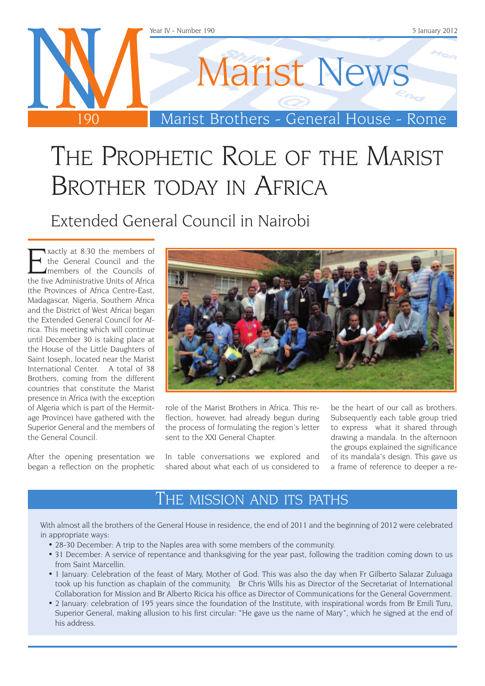

## THE PROPHETIC ROLE OF THE MARIST BROTHER TODAY IN AFRICA

Extended General Council in Nairobi

Exactly at 8:30 the members of<br>the General Council and the<br>the five Administrative Units of Africa the General Council and the members of the Councils of the five Administrative Units of Africa (the Provinces of Africa Centre-East, Madagascar, Nigeria, Southern Africa and the District of West Africa) began the Extended General Council for Africa. This meeting which will continue until December 30 is taking place at the House of the Little Daughters of Saint Joseph, located near the Marist International Center. A total of 38 Brothers, coming from the different countries that constitute the Marist presence in Africa (with the exception of Algeria which is part of the Hermitage Province) have gathered with the Superior General and the members of the General Council.

After the opening presentation we began a reflection on the prophetic



role of the Marist Brothers in Africa. This reflection, however, had already begun during the process of formulating the region's letter sent to the XXI General Chapter.

In table conversations we explored and shared about what each of us considered to

be the heart of our call as brothers. Subsequently each table group tried to express what it shared through drawing a mandala. In the afternoon the groups explained the significance of its mandala's design. This gave us a frame of reference to deeper a re-

#### The mission and its paths

With almost all the brothers of the General House in residence, the end of 2011 and the beginning of 2012 were celebrated in appropriate ways:

- 28-30 December: A trip to the Naples area with some members of the community.
- 31 December: A service of repentance and thanksgiving for the year past, following the tradition coming down to us from Saint Marcellin.
- • 1 January: Celebration of the feast of Mary, Mother of God. This was also the day when Fr Gilberto Salazar Zuluaga took up his function as chaplain of the community, Br Chris Wills his as Director of the Secretariat of International Collaboration for Mission and Br Alberto Ricica his office as Director of Communications for the General Government.
- 2 January: celebration of 195 years since the foundation of the Institute, with inspirational words from Br Emili Turu, Superior General, making allusion to his first circular: "He gave us the name of Mary", which he signed at the end of his address.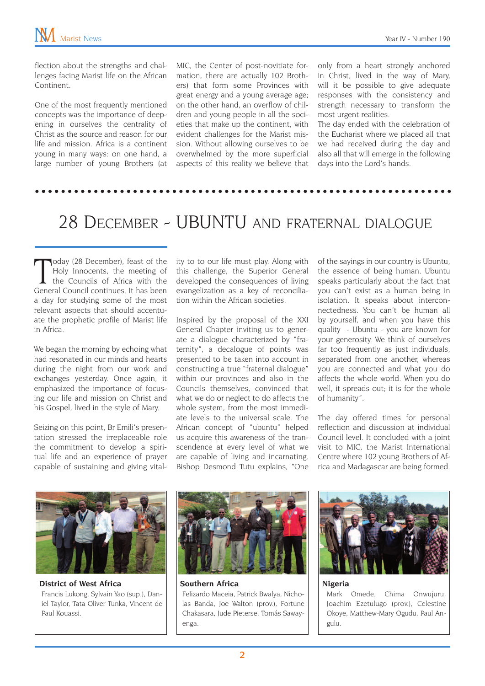flection about the strengths and challenges facing Marist life on the African Continent.

One of the most frequently mentioned concepts was the importance of deepening in ourselves the centrality of Christ as the source and reason for our life and mission. Africa is a continent young in many ways: on one hand, a large number of young Brothers (at MIC, the Center of post-novitiate formation, there are actually 102 Brothers) that form some Provinces with great energy and a young average age; on the other hand, an overflow of children and young people in all the societies that make up the continent, with evident challenges for the Marist mission. Without allowing ourselves to be overwhelmed by the more superficial aspects of this reality we believe that

only from a heart strongly anchored in Christ, lived in the way of Mary, will it be possible to give adequate responses with the consistency and strength necessary to transform the most urgent realities.

The day ended with the celebration of the Eucharist where we placed all that we had received during the day and also all that will emerge in the following days into the Lord's hands.

### 28 December - UBUNTU and fraternal dialogue

Today (28 December), feast of the<br>Holy Innocents, the meeting of<br>the Councils of Africa with the<br>General Council continues. It has been oday (28 December), feast of the Holy Innocents, the meeting of the Councils of Africa with the a day for studying some of the most relevant aspects that should accentuate the prophetic profile of Marist life in Africa.

We began the morning by echoing what had resonated in our minds and hearts during the night from our work and exchanges yesterday. Once again, it emphasized the importance of focusing our life and mission on Christ and his Gospel, lived in the style of Mary.

Seizing on this point, Br Emili's presentation stressed the irreplaceable role the commitment to develop a spiritual life and an experience of prayer capable of sustaining and giving vitality to to our life must play. Along with this challenge, the Superior General developed the consequences of living evangelization as a key of reconciliation within the African societies.

Inspired by the proposal of the XXI General Chapter inviting us to generate a dialogue characterized by "fraternity", a decalogue of points was presented to be taken into account in constructing a true "fraternal dialogue" within our provinces and also in the Councils themselves, convinced that what we do or neglect to do affects the whole system, from the most immediate levels to the universal scale. The African concept of "ubuntu" helped us acquire this awareness of the transcendence at every level of what we are capable of living and incarnating. Bishop Desmond Tutu explains, "One

of the sayings in our country is Ubuntu, the essence of being human. Ubuntu speaks particularly about the fact that you can't exist as a human being in isolation. It speaks about interconnectedness. You can't be human all by yourself, and when you have this quality - Ubuntu - you are known for your generosity. We think of ourselves far too frequently as just individuals, separated from one another, whereas you are connected and what you do affects the whole world. When you do well, it spreads out; it is for the whole of humanity".

The day offered times for personal reflection and discussion at individual Council level. It concluded with a joint visit to MIC, the Marist International Centre where 102 young Brothers of Africa and Madagascar are being formed.



**District of West Africa** Francis Lukong, Sylvain Yao (sup.), Daniel Taylor, Tata Oliver Tunka, Vincent de Paul Kouassi.



**Southern Africa** Felizardo Maceia, Patrick Bwalya, Nicholas Banda, Joe Walton (prov.), Fortune Chakasara, Jude Pieterse, Tomás Sawayenga.



**Nigeria**

Mark Omede, Chima Onwujuru, Joachim Ezetulugo (prov.), Celestine Okoye, Matthew-Mary Ogudu, Paul Angulu.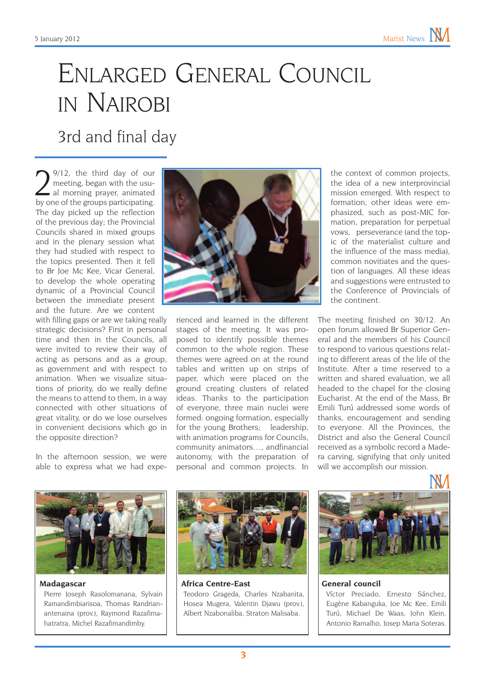# Enlarged General Council in Nairobi

3rd and final day

 $\sum_{\text{2}^9/12, \text{1}}^{9/12, \text{1}}$  the third day of our all morning prayer, animated by one of the groups participating meeting, began with the usual morning prayer, animated by one of the groups participating. The day picked up the reflection of the previous day; the Provincial Councils shared in mixed groups and in the plenary session what they had studied with respect to the topics presented. Then it fell to Br Joe Mc Kee, Vicar General, to develop the whole operating dynamic of a Provincial Council between the immediate present and the future. Are we content

with filling gaps or are we taking really strategic decisions? First in personal time and then in the Councils, all were invited to review their way of acting as persons and as a group, as government and with respect to animation. When we visualize situations of priority, do we really define the means to attend to them, in a way connected with other situations of great vitality, or do we lose ourselves in convenient decisions which go in the opposite direction?

In the afternoon session, we were able to express what we had expe-



rienced and learned in the different stages of the meeting. It was proposed to identify possible themes common to the whole region. These themes were agreed on at the round tables and written up on strips of paper, which were placed on the ground creating clusters of related ideas. Thanks to the participation of everyone, three main nuclei were formed: ongoing formation, especially for the young Brothers; leadership, with animation programs for Councils, community animators…, andfinancial autonomy, with the preparation of personal and common projects. In

the context of common projects, the idea of a new interprovincial mission emerged. With respect to formation, other ideas were emphasized, such as post-MIC formation, preparation for perpetual vows, perseverance (and the topic of the materialist culture and the influence of the mass media), common novitiates and the question of languages. All these ideas and suggestions were entrusted to the Conference of Provincials of the continent.

The meeting finished on 30/12. An open forum allowed Br Superior General and the members of his Council to respond to various questions relating to different areas of the life of the Institute. After a time reserved to a written and shared evaluation, we all headed to the chapel for the closing Eucharist. At the end of the Mass, Br Emili Turú addressed some words of thanks, encouragement and sending to everyone. All the Provinces, the District and also the General Council received as a symbolic record a Madera carving, signifying that only united will we accomplish our mission.



**Madagascar** Pierre Joseph Rasolomanana, Sylvain Ramandimbiarisoa, Thomas Randrianantenaina (prov.), Raymond Razafimahatratra, Michel Razafimandimby.



**Africa Centre-East** Teodoro Grageda, Charles Nzabanita, Hosea Mugera, Valentin Djawu (prov.), Albert Nzabonaliba, Straton Malisaba.



#### **General council**

Víctor Preciado, Ernesto Sánchez, Eugène Kabanguka, Joe Mc Kee, Emili Turú, Michael De Waas, John Klein, Antonio Ramalho, Josep Maria Soteras.